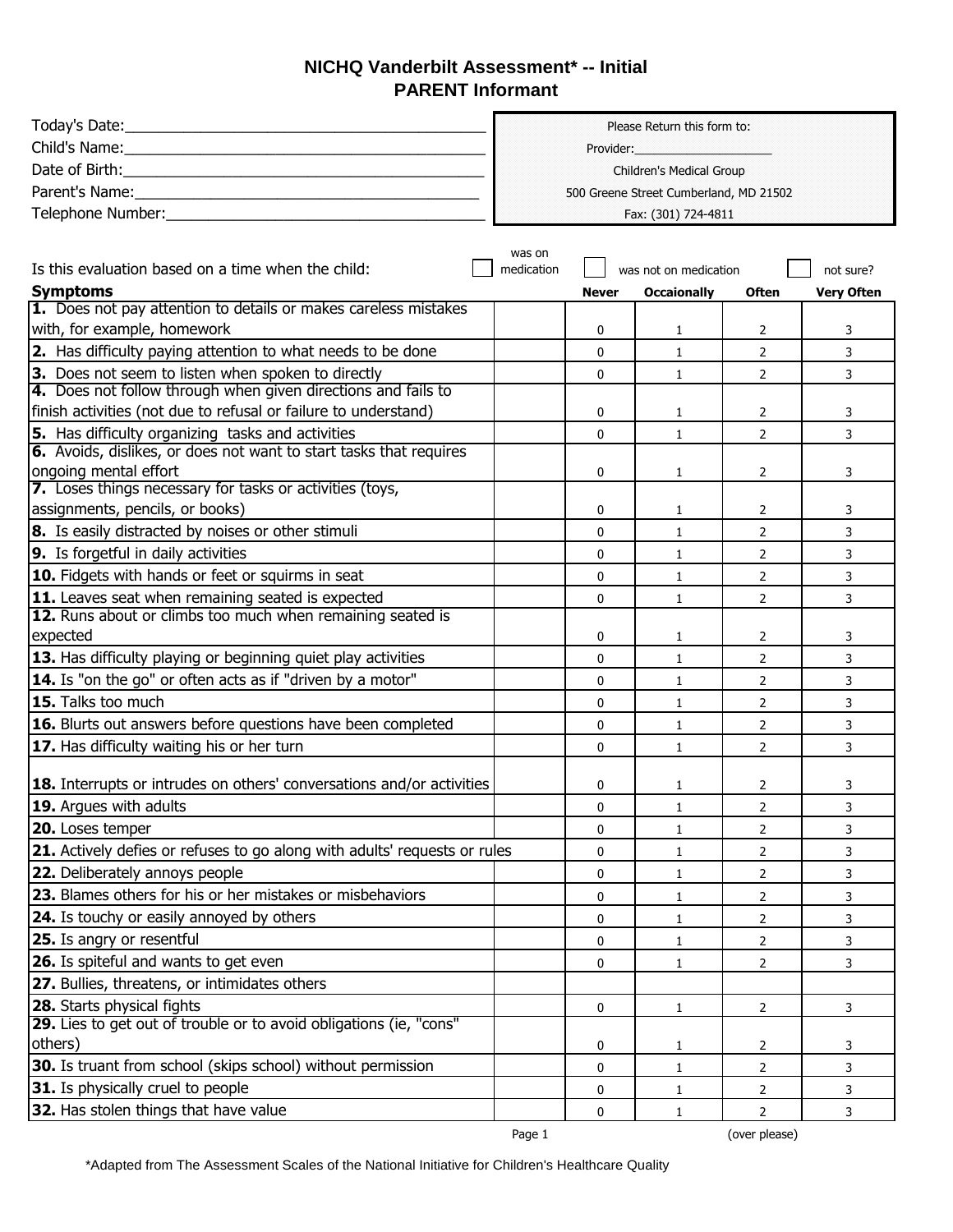## **NICHQ Vanderbilt Assessment\* -- Initial PARENT Informant**

|                                                                                                                   | Please Return this form to:            |                       |                     |                       |                   |  |
|-------------------------------------------------------------------------------------------------------------------|----------------------------------------|-----------------------|---------------------|-----------------------|-------------------|--|
|                                                                                                                   |                                        |                       |                     |                       |                   |  |
|                                                                                                                   | Children's Medical Group               |                       |                     |                       |                   |  |
|                                                                                                                   | 500 Greene Street Cumberland, MD 21502 |                       |                     |                       |                   |  |
| Telephone Number: National Assembly and Assembly and Assembly and Assembly and Assembly and Assembly and Assembly |                                        |                       | Fax: (301) 724-4811 |                       |                   |  |
|                                                                                                                   |                                        |                       |                     |                       |                   |  |
|                                                                                                                   | was on                                 |                       |                     |                       |                   |  |
| Is this evaluation based on a time when the child:                                                                | medication                             | was not on medication |                     |                       | not sure?         |  |
| <b>Symptoms</b><br>1. Does not pay attention to details or makes careless mistakes                                |                                        | <b>Never</b>          | <b>Occaionally</b>  | <b>Often</b>          | <b>Very Often</b> |  |
| with, for example, homework                                                                                       |                                        | 0                     | 1                   | $\mathbf{2}^{\prime}$ | 3                 |  |
| 2. Has difficulty paying attention to what needs to be done                                                       |                                        | 0                     | $\mathbf{1}$        | $\overline{2}$        | 3                 |  |
| 3. Does not seem to listen when spoken to directly                                                                |                                        | 0                     | $\mathbf{1}$        | $\overline{2}$        | 3                 |  |
| 4. Does not follow through when given directions and fails to                                                     |                                        |                       |                     |                       |                   |  |
| finish activities (not due to refusal or failure to understand)                                                   |                                        | 0                     | 1                   | 2                     | 3                 |  |
| 5. Has difficulty organizing tasks and activities                                                                 |                                        | 0                     | $\mathbf{1}$        | $\overline{2}$        | 3                 |  |
| 6. Avoids, dislikes, or does not want to start tasks that requires                                                |                                        |                       |                     |                       |                   |  |
| ongoing mental effort                                                                                             |                                        | 0                     | $\mathbf{1}$        | $\overline{2}$        | 3                 |  |
| 7. Loses things necessary for tasks or activities (toys,                                                          |                                        |                       |                     |                       |                   |  |
| assignments, pencils, or books)                                                                                   |                                        | 0                     | $\mathbf{1}$        | 2                     | 3                 |  |
| 8. Is easily distracted by noises or other stimuli                                                                |                                        | 0                     | $\mathbf{1}$        | $\overline{2}$        | 3                 |  |
| 9. Is forgetful in daily activities                                                                               |                                        | 0                     | $\mathbf{1}$        | $\overline{2}$        | 3                 |  |
| 10. Fidgets with hands or feet or squirms in seat                                                                 |                                        | 0                     | $\mathbf{1}$        | $\overline{2}$        | 3                 |  |
| 11. Leaves seat when remaining seated is expected                                                                 |                                        | 0                     | $\mathbf{1}$        | $\overline{2}$        | 3                 |  |
| 12. Runs about or climbs too much when remaining seated is                                                        |                                        |                       |                     |                       |                   |  |
| expected                                                                                                          |                                        | 0                     | $\mathbf{1}$        | 2                     | 3                 |  |
| 13. Has difficulty playing or beginning quiet play activities                                                     |                                        | 0                     | $\mathbf{1}$        | $\overline{2}$        | 3                 |  |
| 14. Is "on the go" or often acts as if "driven by a motor"                                                        |                                        | 0                     | $\mathbf{1}$        | $\overline{2}$        | 3                 |  |
| 15. Talks too much                                                                                                |                                        | 0                     | $\mathbf{1}$        | $\overline{2}$        | 3                 |  |
| 16. Blurts out answers before questions have been completed                                                       |                                        | 0                     | $\mathbf{1}$        | $\overline{2}$        | 3                 |  |
| 17. Has difficulty waiting his or her turn                                                                        |                                        | 0                     | $\mathbf{1}$        | $\overline{2}$        | 3                 |  |
| <b>18.</b> Interrupts or intrudes on others' conversations and/or activities                                      |                                        | 0                     | 1                   | 2                     | 3                 |  |
| 19. Argues with adults                                                                                            |                                        | 0                     | $\mathbf{1}$        | $\overline{2}$        | 3                 |  |
| 20. Loses temper                                                                                                  |                                        | 0                     | 1                   | $\overline{2}$        | 3                 |  |
| 21. Actively defies or refuses to go along with adults' requests or rules                                         |                                        | 0                     | $\mathbf{1}$        | $\overline{2}$        | 3                 |  |
| 22. Deliberately annoys people                                                                                    |                                        | 0                     | $\mathbf{1}$        | $\overline{2}$        | 3                 |  |
| 23. Blames others for his or her mistakes or misbehaviors                                                         |                                        | 0                     | 1                   | $\overline{2}$        | 3                 |  |
| 24. Is touchy or easily annoyed by others                                                                         |                                        | 0                     | $\mathbf{1}$        | $\overline{2}$        | 3                 |  |
| <b>25.</b> Is angry or resentful                                                                                  |                                        | 0                     | 1                   | $\overline{2}$        | 3                 |  |
| 26. Is spiteful and wants to get even                                                                             |                                        | 0                     | 1                   | $\overline{2}$        | 3                 |  |
| 27. Bullies, threatens, or intimidates others                                                                     |                                        |                       |                     |                       |                   |  |
| 28. Starts physical fights                                                                                        |                                        | 0                     | $\mathbf{1}$        | $2^{\circ}$           | 3                 |  |
| 29. Lies to get out of trouble or to avoid obligations (ie, "cons"                                                |                                        |                       |                     |                       |                   |  |
| others)                                                                                                           |                                        | 0                     | 1                   | 2                     | 3                 |  |
| 30. Is truant from school (skips school) without permission                                                       |                                        | 0                     | $\mathbf{1}$        | $\overline{2}$        | 3                 |  |
| 31. Is physically cruel to people                                                                                 |                                        | 0                     | $\mathbf{1}$        | $\overline{2}$        | 3                 |  |
| 32. Has stolen things that have value                                                                             |                                        | 0                     | 1                   | $\overline{2}$        | 3                 |  |

Page 1 (over please)